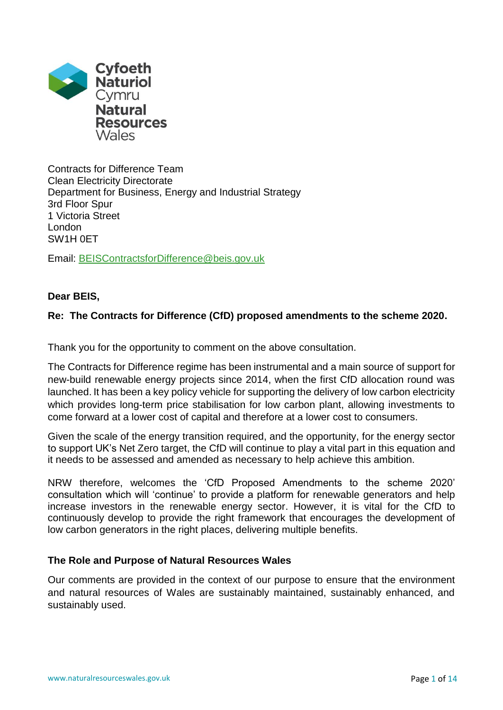

Contracts for Difference Team Clean Electricity Directorate Department for Business, Energy and Industrial Strategy 3rd Floor Spur 1 Victoria Street London SW1H 0ET

Email: [BEISContractsforDifference@beis.gov.uk](mailto:BEISContractsforDifference@beis.gov.uk)

# **Dear BEIS,**

# **Re: The Contracts for Difference (CfD) proposed amendments to the scheme 2020.**

Thank you for the opportunity to comment on the above consultation.

The Contracts for Difference regime has been instrumental and a main source of support for new-build renewable energy projects since 2014, when the first CfD allocation round was launched. It has been a key policy vehicle for supporting the delivery of low carbon electricity which provides long-term price stabilisation for low carbon plant, allowing investments to come forward at a lower cost of capital and therefore at a lower cost to consumers.

Given the scale of the energy transition required, and the opportunity, for the energy sector to support UK's Net Zero target, the CfD will continue to play a vital part in this equation and it needs to be assessed and amended as necessary to help achieve this ambition.

NRW therefore, welcomes the 'CfD Proposed Amendments to the scheme 2020' consultation which will 'continue' to provide a platform for renewable generators and help increase investors in the renewable energy sector. However, it is vital for the CfD to continuously develop to provide the right framework that encourages the development of low carbon generators in the right places, delivering multiple benefits.

# **The Role and Purpose of Natural Resources Wales**

Our comments are provided in the context of our purpose to ensure that the environment and natural resources of Wales are sustainably maintained, sustainably enhanced, and sustainably used.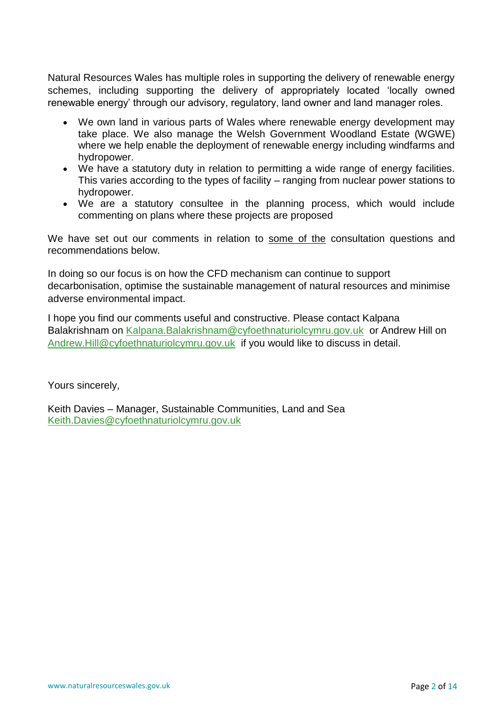Natural Resources Wales has multiple roles in supporting the delivery of renewable energy schemes, including supporting the delivery of appropriately located 'locally owned renewable energy' through our advisory, regulatory, land owner and land manager roles.

- We own land in various parts of Wales where renewable energy development may take place. We also manage the Welsh Government Woodland Estate (WGWE) where we help enable the deployment of renewable energy including windfarms and hydropower.
- We have a statutory duty in relation to permitting a wide range of energy facilities. This varies according to the types of facility – ranging from nuclear power stations to hydropower.
- We are a statutory consultee in the planning process, which would include commenting on plans where these projects are proposed

We have set out our comments in relation to some of the consultation questions and recommendations below.

In doing so our focus is on how the CFD mechanism can continue to support decarbonisation, optimise the sustainable management of natural resources and minimise adverse environmental impact.

I hope you find our comments useful and constructive. Please contact Kalpana Balakrishnam on [Kalpana.Balakrishnam@cyfoethnaturiolcymru.gov.uk](mailto:Kalpana.Balakrishnam@cyfoethnaturiolcymru.gov.uk) or Andrew Hill on [Andrew.Hill@cyfoethnaturiolcymru.gov.uk](mailto:Andrew.Hill@cyfoethnaturiolcymru.gov.uk) if you would like to discuss in detail.

Yours sincerely,

Keith Davies – Manager, Sustainable Communities, Land and Sea [Keith.Davies@cyfoethnaturiolcymru.gov.uk](mailto:Keith.Davies@cyfoethnaturiolcymru.gov.uk)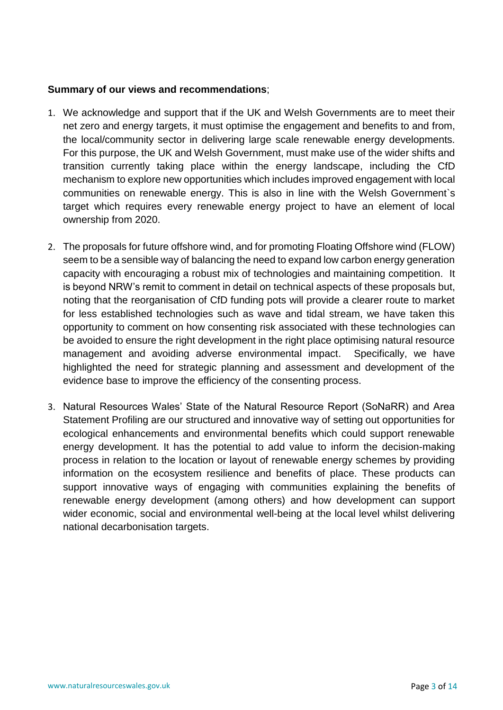# **Summary of our views and recommendations**;

- 1. We acknowledge and support that if the UK and Welsh Governments are to meet their net zero and energy targets, it must optimise the engagement and benefits to and from, the local/community sector in delivering large scale renewable energy developments. For this purpose, the UK and Welsh Government, must make use of the wider shifts and transition currently taking place within the energy landscape, including the CfD mechanism to explore new opportunities which includes improved engagement with local communities on renewable energy. This is also in line with the Welsh Government`s target which requires every renewable energy project to have an element of local ownership from 2020.
- 2. The proposals for future offshore wind, and for promoting Floating Offshore wind (FLOW) seem to be a sensible way of balancing the need to expand low carbon energy generation capacity with encouraging a robust mix of technologies and maintaining competition. It is beyond NRW's remit to comment in detail on technical aspects of these proposals but, noting that the reorganisation of CfD funding pots will provide a clearer route to market for less established technologies such as wave and tidal stream, we have taken this opportunity to comment on how consenting risk associated with these technologies can be avoided to ensure the right development in the right place optimising natural resource management and avoiding adverse environmental impact. Specifically, we have highlighted the need for strategic planning and assessment and development of the evidence base to improve the efficiency of the consenting process.
- 3. Natural Resources Wales' State of the Natural Resource Report (SoNaRR) and Area Statement Profiling are our structured and innovative way of setting out opportunities for ecological enhancements and environmental benefits which could support renewable energy development. It has the potential to add value to inform the decision-making process in relation to the location or layout of renewable energy schemes by providing information on the ecosystem resilience and benefits of place. These products can support innovative ways of engaging with communities explaining the benefits of renewable energy development (among others) and how development can support wider economic, social and environmental well-being at the local level whilst delivering national decarbonisation targets.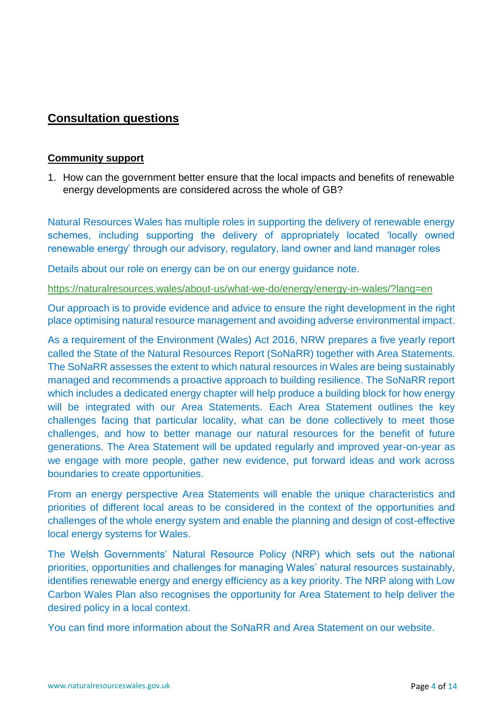# **Consultation questions**

# **Community support**

1. How can the government better ensure that the local impacts and benefits of renewable energy developments are considered across the whole of GB?

Natural Resources Wales has multiple roles in supporting the delivery of renewable energy schemes, including supporting the delivery of appropriately located 'locally owned renewable energy' through our advisory, regulatory, land owner and land manager roles

Details about our role on energy can be on our energy guidance note.

<https://naturalresources.wales/about-us/what-we-do/energy/energy-in-wales/?lang=en>

Our approach is to provide evidence and advice to ensure the right development in the right place optimising natural resource management and avoiding adverse environmental impact.

As a requirement of the Environment (Wales) Act 2016, NRW prepares a five yearly report called the State of the Natural Resources Report (SoNaRR) together with Area Statements. The SoNaRR assesses the extent to which natural resources in Wales are being sustainably managed and recommends a proactive approach to building resilience. The SoNaRR report which includes a dedicated energy chapter will help produce a building block for how energy will be integrated with our Area Statements. Each Area Statement outlines the key challenges facing that particular locality, what can be done collectively to meet those challenges, and how to better manage our natural resources for the benefit of future generations. The Area Statement will be updated regularly and improved year-on-year as we engage with more people, gather new evidence, put forward ideas and work across boundaries to create opportunities.

From an energy perspective Area Statements will enable the unique characteristics and priorities of different local areas to be considered in the context of the opportunities and challenges of the whole energy system and enable the planning and design of cost-effective local energy systems for Wales.

The Welsh Governments' Natural Resource Policy (NRP) which sets out the national priorities, opportunities and challenges for managing Wales' natural resources sustainably, identifies renewable energy and energy efficiency as a key priority. The NRP along with Low Carbon Wales Plan also recognises the opportunity for Area Statement to help deliver the desired policy in a local context.

You can find more information about the SoNaRR and Area Statement on our website.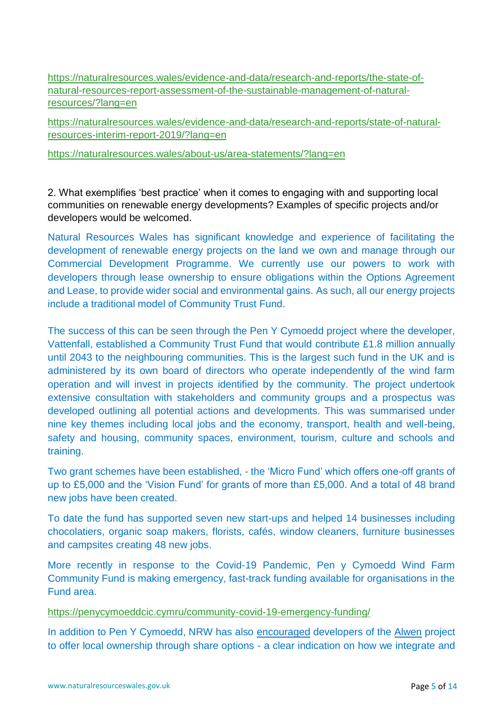[https://naturalresources.wales/evidence-and-data/research-and-reports/the-state-of](https://naturalresources.wales/evidence-and-data/research-and-reports/the-state-of-natural-resources-report-assessment-of-the-sustainable-management-of-natural-resources/?lang=en)[natural-resources-report-assessment-of-the-sustainable-management-of-natural](https://naturalresources.wales/evidence-and-data/research-and-reports/the-state-of-natural-resources-report-assessment-of-the-sustainable-management-of-natural-resources/?lang=en)[resources/?lang=en](https://naturalresources.wales/evidence-and-data/research-and-reports/the-state-of-natural-resources-report-assessment-of-the-sustainable-management-of-natural-resources/?lang=en)

[https://naturalresources.wales/evidence-and-data/research-and-reports/state-of-natural](https://naturalresources.wales/evidence-and-data/research-and-reports/state-of-natural-resources-interim-report-2019/?lang=en)[resources-interim-report-2019/?lang=en](https://naturalresources.wales/evidence-and-data/research-and-reports/state-of-natural-resources-interim-report-2019/?lang=en)

<https://naturalresources.wales/about-us/area-statements/?lang=en>

2. What exemplifies 'best practice' when it comes to engaging with and supporting local communities on renewable energy developments? Examples of specific projects and/or developers would be welcomed.

Natural Resources Wales has significant knowledge and experience of facilitating the development of renewable energy projects on the land we own and manage through our Commercial Development Programme. We currently use our powers to work with developers through lease ownership to ensure obligations within the Options Agreement and Lease, to provide wider social and environmental gains. As such, all our energy projects include a traditional model of Community Trust Fund.

The success of this can be seen through the Pen Y Cymoedd project where the developer, Vattenfall, established a Community Trust Fund that would contribute £1.8 million annually until 2043 to the neighbouring communities. This is the largest such fund in the UK and is administered by its own board of directors who operate independently of the wind farm operation and will invest in projects identified by the community. The project undertook extensive consultation with stakeholders and community groups and a prospectus was developed outlining all potential actions and developments. This was summarised under nine key themes including local jobs and the economy, transport, health and well-being, safety and housing, community spaces, environment, tourism, culture and schools and training.

Two grant schemes have been established, - the 'Micro Fund' which offers one-off grants of up to £5,000 and the 'Vision Fund' for grants of more than £5,000. And a total of 48 brand new jobs have been created.

To date the fund has supported seven new start-ups and helped 14 businesses including chocolatiers, organic soap makers, florists, cafés, window cleaners, furniture businesses and campsites creating 48 new jobs.

More recently in response to the Covid-19 Pandemic, Pen y Cymoedd Wind Farm Community Fund is making emergency, fast-track funding available for organisations in the Fund area.

# <https://penycymoeddcic.cymru/community-covid-19-emergency-funding/>

In addition to Pen Y Cymoedd, NRW has also encouraged developers of the [Alwen](https://iam.innogy.com/en/ueber-innogy/innogy-innovation-technik/erneuerbare-energien/onshore/innogy-onshore-bauprojekte/alwen-forest-wind-farm) project to offer local ownership through share options - a clear indication on how we integrate and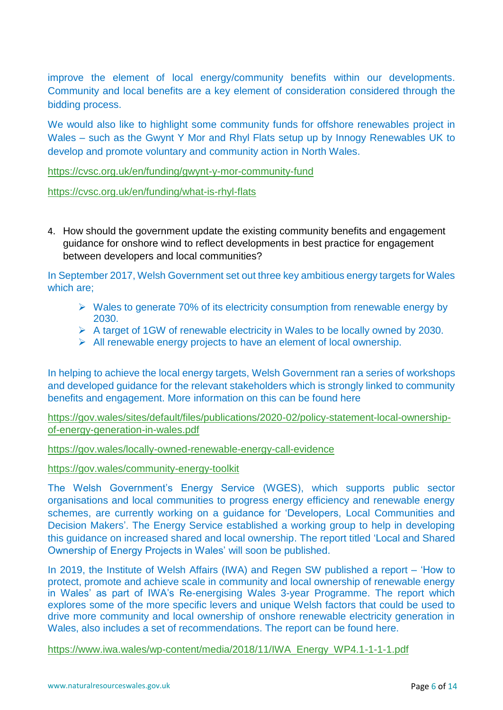improve the element of local energy/community benefits within our developments. Community and local benefits are a key element of consideration considered through the bidding process.

We would also like to highlight some community funds for offshore renewables project in Wales – such as the Gwynt Y Mor and Rhyl Flats setup up by Innogy Renewables UK to develop and promote voluntary and community action in North Wales.

<https://cvsc.org.uk/en/funding/gwynt-y-mor-community-fund>

<https://cvsc.org.uk/en/funding/what-is-rhyl-flats>

4. How should the government update the existing community benefits and engagement guidance for onshore wind to reflect developments in best practice for engagement between developers and local communities?

In September 2017, Welsh Government set out three key ambitious energy targets for Wales which are;

- ➢ Wales to generate 70% of its electricity consumption from renewable energy by 2030.
- ➢ A target of 1GW of renewable electricity in Wales to be locally owned by 2030.
- $\triangleright$  All renewable energy projects to have an element of local ownership.

In helping to achieve the local energy targets, Welsh Government ran a series of workshops and developed guidance for the relevant stakeholders which is strongly linked to community benefits and engagement. More information on this can be found here

[https://gov.wales/sites/default/files/publications/2020-02/policy-statement-local-ownership](https://gov.wales/sites/default/files/publications/2020-02/policy-statement-local-ownership-of-energy-generation-in-wales.pdf)[of-energy-generation-in-wales.pdf](https://gov.wales/sites/default/files/publications/2020-02/policy-statement-local-ownership-of-energy-generation-in-wales.pdf)

<https://gov.wales/locally-owned-renewable-energy-call-evidence>

<https://gov.wales/community-energy-toolkit>

The Welsh Government's Energy Service (WGES), which supports public sector organisations and local communities to progress energy efficiency and renewable energy schemes, are currently working on a guidance for 'Developers, Local Communities and Decision Makers'. The Energy Service established a working group to help in developing this guidance on increased shared and local ownership. The report titled 'Local and Shared Ownership of Energy Projects in Wales' will soon be published.

In 2019, the Institute of Welsh Affairs (IWA) and Regen SW published a report – 'How to protect, promote and achieve scale in community and local ownership of renewable energy in Wales' as part of IWA's Re-energising Wales 3-year Programme. The report which explores some of the more specific levers and unique Welsh factors that could be used to drive more community and local ownership of onshore renewable electricity generation in Wales, also includes a set of recommendations. The report can be found here.

[https://www.iwa.wales/wp-content/media/2018/11/IWA\\_Energy\\_WP4.1-1-1-1.pdf](https://www.iwa.wales/wp-content/media/2018/11/IWA_Energy_WP4.1-1-1-1.pdf)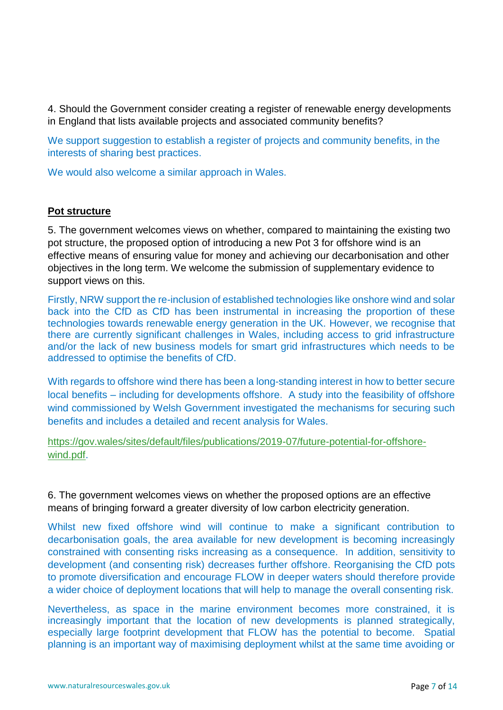4. Should the Government consider creating a register of renewable energy developments in England that lists available projects and associated community benefits?

We support suggestion to establish a register of projects and community benefits, in the interests of sharing best practices.

We would also welcome a similar approach in Wales.

# **Pot structure**

5. The government welcomes views on whether, compared to maintaining the existing two pot structure, the proposed option of introducing a new Pot 3 for offshore wind is an effective means of ensuring value for money and achieving our decarbonisation and other objectives in the long term. We welcome the submission of supplementary evidence to support views on this.

Firstly, NRW support the re-inclusion of established technologies like onshore wind and solar back into the CfD as CfD has been instrumental in increasing the proportion of these technologies towards renewable energy generation in the UK. However, we recognise that there are currently significant challenges in Wales, including access to grid infrastructure and/or the lack of new business models for smart grid infrastructures which needs to be addressed to optimise the benefits of CfD.

With regards to offshore wind there has been a long-standing interest in how to better secure local benefits – including for developments offshore. A study into the feasibility of offshore wind commissioned by Welsh Government investigated the mechanisms for securing such benefits and includes a detailed and recent analysis for Wales.

[https://gov.wales/sites/default/files/publications/2019-07/future-potential-for-offshore](https://gov.wales/sites/default/files/publications/2019-07/future-potential-for-offshore-wind.pdf)[wind.pdf.](https://gov.wales/sites/default/files/publications/2019-07/future-potential-for-offshore-wind.pdf)

6. The government welcomes views on whether the proposed options are an effective means of bringing forward a greater diversity of low carbon electricity generation.

Whilst new fixed offshore wind will continue to make a significant contribution to decarbonisation goals, the area available for new development is becoming increasingly constrained with consenting risks increasing as a consequence. In addition, sensitivity to development (and consenting risk) decreases further offshore. Reorganising the CfD pots to promote diversification and encourage FLOW in deeper waters should therefore provide a wider choice of deployment locations that will help to manage the overall consenting risk.

Nevertheless, as space in the marine environment becomes more constrained, it is increasingly important that the location of new developments is planned strategically, especially large footprint development that FLOW has the potential to become. Spatial planning is an important way of maximising deployment whilst at the same time avoiding or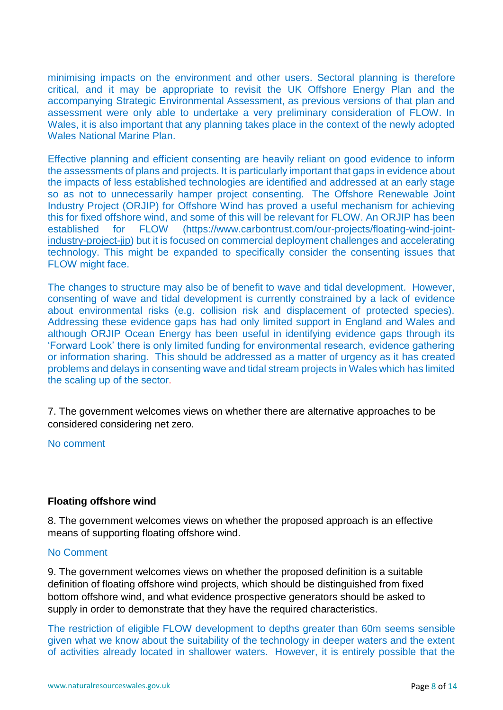minimising impacts on the environment and other users. Sectoral planning is therefore critical, and it may be appropriate to revisit the UK Offshore Energy Plan and the accompanying Strategic Environmental Assessment, as previous versions of that plan and assessment were only able to undertake a very preliminary consideration of FLOW. In Wales, it is also important that any planning takes place in the context of the newly adopted Wales National Marine Plan.

Effective planning and efficient consenting are heavily reliant on good evidence to inform the assessments of plans and projects. It is particularly important that gaps in evidence about the impacts of less established technologies are identified and addressed at an early stage so as not to unnecessarily hamper project consenting. The Offshore Renewable Joint Industry Project (ORJIP) for Offshore Wind has proved a useful mechanism for achieving this for fixed offshore wind, and some of this will be relevant for FLOW. An ORJIP has been established for FLOW [\(https://www.carbontrust.com/our-projects/floating-wind-joint](https://www.carbontrust.com/our-projects/floating-wind-joint-industry-project-jip)[industry-project-jip\)](https://www.carbontrust.com/our-projects/floating-wind-joint-industry-project-jip) but it is focused on commercial deployment challenges and accelerating technology. This might be expanded to specifically consider the consenting issues that FLOW might face.

The changes to structure may also be of benefit to wave and tidal development. However, consenting of wave and tidal development is currently constrained by a lack of evidence about environmental risks (e.g. collision risk and displacement of protected species). Addressing these evidence gaps has had only limited support in England and Wales and although ORJIP Ocean Energy has been useful in identifying evidence gaps through its 'Forward Look' there is only limited funding for environmental research, evidence gathering or information sharing. This should be addressed as a matter of urgency as it has created problems and delays in consenting wave and tidal stream projects in Wales which has limited the scaling up of the sector.

7. The government welcomes views on whether there are alternative approaches to be considered considering net zero.

No comment

# **Floating offshore wind**

8. The government welcomes views on whether the proposed approach is an effective means of supporting floating offshore wind.

#### No Comment

9. The government welcomes views on whether the proposed definition is a suitable definition of floating offshore wind projects, which should be distinguished from fixed bottom offshore wind, and what evidence prospective generators should be asked to supply in order to demonstrate that they have the required characteristics.

The restriction of eligible FLOW development to depths greater than 60m seems sensible given what we know about the suitability of the technology in deeper waters and the extent of activities already located in shallower waters. However, it is entirely possible that the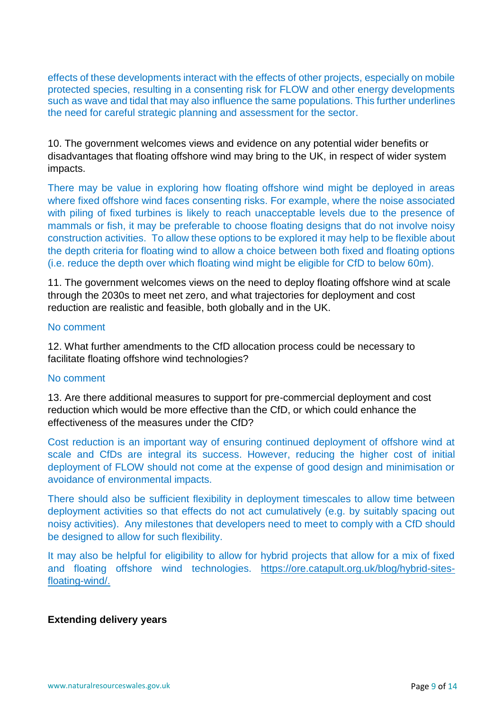effects of these developments interact with the effects of other projects, especially on mobile protected species, resulting in a consenting risk for FLOW and other energy developments such as wave and tidal that may also influence the same populations. This further underlines the need for careful strategic planning and assessment for the sector.

10. The government welcomes views and evidence on any potential wider benefits or disadvantages that floating offshore wind may bring to the UK, in respect of wider system impacts.

There may be value in exploring how floating offshore wind might be deployed in areas where fixed offshore wind faces consenting risks. For example, where the noise associated with piling of fixed turbines is likely to reach unacceptable levels due to the presence of mammals or fish, it may be preferable to choose floating designs that do not involve noisy construction activities. To allow these options to be explored it may help to be flexible about the depth criteria for floating wind to allow a choice between both fixed and floating options (i.e. reduce the depth over which floating wind might be eligible for CfD to below 60m).

11. The government welcomes views on the need to deploy floating offshore wind at scale through the 2030s to meet net zero, and what trajectories for deployment and cost reduction are realistic and feasible, both globally and in the UK.

### No comment

12. What further amendments to the CfD allocation process could be necessary to facilitate floating offshore wind technologies?

#### No comment

13. Are there additional measures to support for pre-commercial deployment and cost reduction which would be more effective than the CfD, or which could enhance the effectiveness of the measures under the CfD?

Cost reduction is an important way of ensuring continued deployment of offshore wind at scale and CfDs are integral its success. However, reducing the higher cost of initial deployment of FLOW should not come at the expense of good design and minimisation or avoidance of environmental impacts.

There should also be sufficient flexibility in deployment timescales to allow time between deployment activities so that effects do not act cumulatively (e.g. by suitably spacing out noisy activities). Any milestones that developers need to meet to comply with a CfD should be designed to allow for such flexibility.

It may also be helpful for eligibility to allow for hybrid projects that allow for a mix of fixed and floating offshore wind technologies. [https://ore.catapult.org.uk/blog/hybrid-sites](https://ore.catapult.org.uk/blog/hybrid-sites-floating-wind/)[floating-wind/.](https://ore.catapult.org.uk/blog/hybrid-sites-floating-wind/)

#### **Extending delivery years**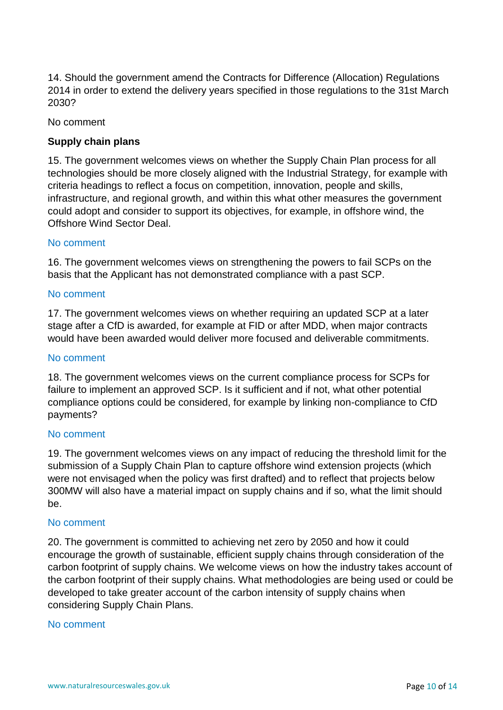14. Should the government amend the Contracts for Difference (Allocation) Regulations 2014 in order to extend the delivery years specified in those regulations to the 31st March 2030?

No comment

# **Supply chain plans**

15. The government welcomes views on whether the Supply Chain Plan process for all technologies should be more closely aligned with the Industrial Strategy, for example with criteria headings to reflect a focus on competition, innovation, people and skills, infrastructure, and regional growth, and within this what other measures the government could adopt and consider to support its objectives, for example, in offshore wind, the Offshore Wind Sector Deal.

## No comment

16. The government welcomes views on strengthening the powers to fail SCPs on the basis that the Applicant has not demonstrated compliance with a past SCP.

#### No comment

17. The government welcomes views on whether requiring an updated SCP at a later stage after a CfD is awarded, for example at FID or after MDD, when major contracts would have been awarded would deliver more focused and deliverable commitments.

#### No comment

18. The government welcomes views on the current compliance process for SCPs for failure to implement an approved SCP. Is it sufficient and if not, what other potential compliance options could be considered, for example by linking non-compliance to CfD payments?

#### No comment

19. The government welcomes views on any impact of reducing the threshold limit for the submission of a Supply Chain Plan to capture offshore wind extension projects (which were not envisaged when the policy was first drafted) and to reflect that projects below 300MW will also have a material impact on supply chains and if so, what the limit should be.

#### No comment

20. The government is committed to achieving net zero by 2050 and how it could encourage the growth of sustainable, efficient supply chains through consideration of the carbon footprint of supply chains. We welcome views on how the industry takes account of the carbon footprint of their supply chains. What methodologies are being used or could be developed to take greater account of the carbon intensity of supply chains when considering Supply Chain Plans.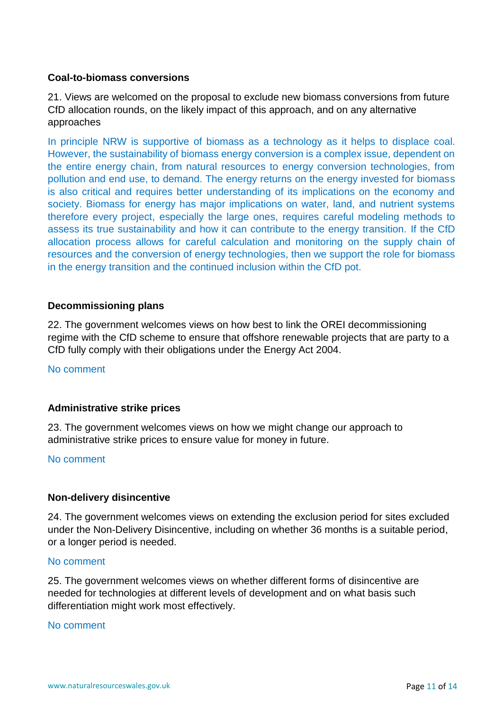# **Coal-to-biomass conversions**

21. Views are welcomed on the proposal to exclude new biomass conversions from future CfD allocation rounds, on the likely impact of this approach, and on any alternative approaches

In principle NRW is supportive of biomass as a technology as it helps to displace coal. However, the sustainability of biomass energy conversion is a complex issue, dependent on the entire energy chain, from natural resources to energy conversion technologies, from pollution and end use, to demand. The energy returns on the energy invested for biomass is also critical and requires better understanding of its implications on the economy and society. Biomass for energy has major implications on water, land, and nutrient systems therefore every project, especially the large ones, requires careful modeling methods to assess its true sustainability and how it can contribute to the energy transition. If the CfD allocation process allows for careful calculation and monitoring on the supply chain of resources and the conversion of energy technologies, then we support the role for biomass in the energy transition and the continued inclusion within the CfD pot.

## **Decommissioning plans**

22. The government welcomes views on how best to link the OREI decommissioning regime with the CfD scheme to ensure that offshore renewable projects that are party to a CfD fully comply with their obligations under the Energy Act 2004.

No comment

#### **Administrative strike prices**

23. The government welcomes views on how we might change our approach to administrative strike prices to ensure value for money in future.

#### No comment

#### **Non-delivery disincentive**

24. The government welcomes views on extending the exclusion period for sites excluded under the Non-Delivery Disincentive, including on whether 36 months is a suitable period, or a longer period is needed.

#### No comment

25. The government welcomes views on whether different forms of disincentive are needed for technologies at different levels of development and on what basis such differentiation might work most effectively.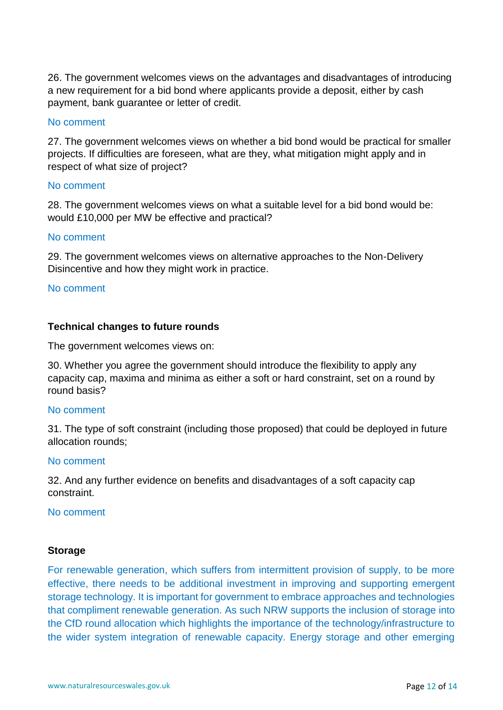26. The government welcomes views on the advantages and disadvantages of introducing a new requirement for a bid bond where applicants provide a deposit, either by cash payment, bank guarantee or letter of credit.

### No comment

27. The government welcomes views on whether a bid bond would be practical for smaller projects. If difficulties are foreseen, what are they, what mitigation might apply and in respect of what size of project?

## No comment

28. The government welcomes views on what a suitable level for a bid bond would be: would £10,000 per MW be effective and practical?

# No comment

29. The government welcomes views on alternative approaches to the Non-Delivery Disincentive and how they might work in practice.

#### No comment

## **Technical changes to future rounds**

The government welcomes views on:

30. Whether you agree the government should introduce the flexibility to apply any capacity cap, maxima and minima as either a soft or hard constraint, set on a round by round basis?

#### No comment

31. The type of soft constraint (including those proposed) that could be deployed in future allocation rounds;

#### No comment

32. And any further evidence on benefits and disadvantages of a soft capacity cap constraint.

#### No comment

#### **Storage**

For renewable generation, which suffers from intermittent provision of supply, to be more effective, there needs to be additional investment in improving and supporting emergent storage technology. It is important for government to embrace approaches and technologies that compliment renewable generation. As such NRW supports the inclusion of storage into the CfD round allocation which highlights the importance of the technology/infrastructure to the wider system integration of renewable capacity. Energy storage and other emerging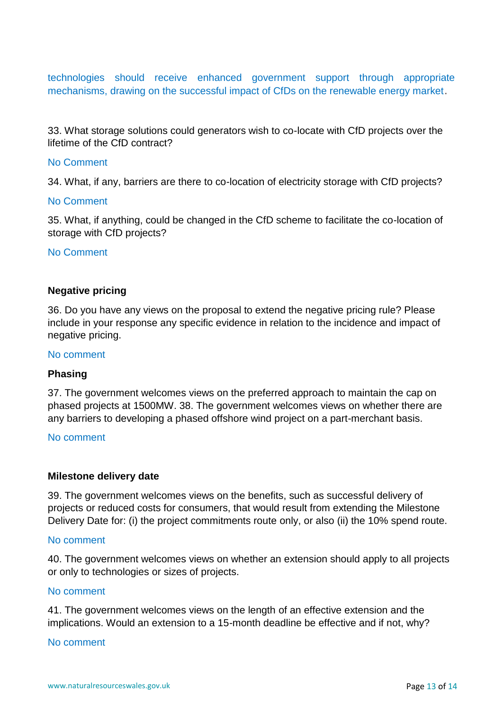technologies should receive enhanced government support through appropriate mechanisms, drawing on the successful impact of CfDs on the renewable energy market.

33. What storage solutions could generators wish to co-locate with CfD projects over the lifetime of the CfD contract?

## No Comment

34. What, if any, barriers are there to co-location of electricity storage with CfD projects?

## No Comment

35. What, if anything, could be changed in the CfD scheme to facilitate the co-location of storage with CfD projects?

#### No Comment

## **Negative pricing**

36. Do you have any views on the proposal to extend the negative pricing rule? Please include in your response any specific evidence in relation to the incidence and impact of negative pricing.

#### No comment

#### **Phasing**

37. The government welcomes views on the preferred approach to maintain the cap on phased projects at 1500MW. 38. The government welcomes views on whether there are any barriers to developing a phased offshore wind project on a part-merchant basis.

#### No comment

#### **Milestone delivery date**

39. The government welcomes views on the benefits, such as successful delivery of projects or reduced costs for consumers, that would result from extending the Milestone Delivery Date for: (i) the project commitments route only, or also (ii) the 10% spend route.

#### No comment

40. The government welcomes views on whether an extension should apply to all projects or only to technologies or sizes of projects.

### No comment

41. The government welcomes views on the length of an effective extension and the implications. Would an extension to a 15-month deadline be effective and if not, why?